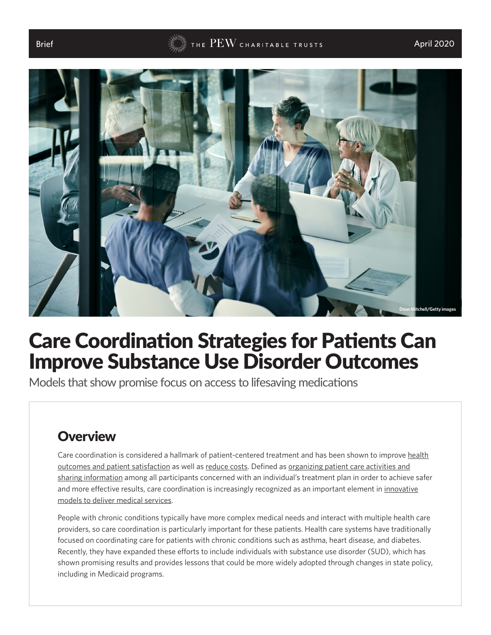#### Brief  $$\rm{FEW}$  the  $\rm{PEW}$  charitable trusts and  $\rm{April}$  2020  $\rm{A}$



# Care Coordination Strategies for Patients Can Improve Substance Use Disorder Outcomes

Models that show promise focus on access to lifesaving medications

#### **Overview**

Care coordination is considered a hallmark of patient-centered treatment and has been shown to improve [health](https://www.familiesusa.org/wp-content/uploads/2019/09/Care-Coordination.pdf) [outcomes and patient satisfaction](https://www.familiesusa.org/wp-content/uploads/2019/09/Care-Coordination.pdf) as well as [reduce costs.](https://www.cibhs.org/sites/main/files/file-attachments/6_ihi_care_coordinator_white_paper.pdf) Defined as [organizing patient care activities and](https://www.ahrq.gov/ncepcr/care/coordination.html) [sharing information](https://www.ahrq.gov/ncepcr/care/coordination.html) among all participants concerned with an individual's treatment plan in order to achieve safer and more effective results, care coordination is increasingly recognized as an important element in [innovative](https://innovation.cms.gov/Files/x/aco-carecoordination-toolkit.pdf) [models to deliver medical services.](https://innovation.cms.gov/Files/x/aco-carecoordination-toolkit.pdf)

People with chronic conditions typically have more complex medical needs and interact with multiple health care providers, so care coordination is particularly important for these patients. Health care systems have traditionally focused on coordinating care for patients with chronic conditions such as asthma, heart disease, and diabetes. Recently, they have expanded these efforts to include individuals with substance use disorder (SUD), which has shown promising results and provides lessons that could be more widely adopted through changes in state policy, including in Medicaid programs.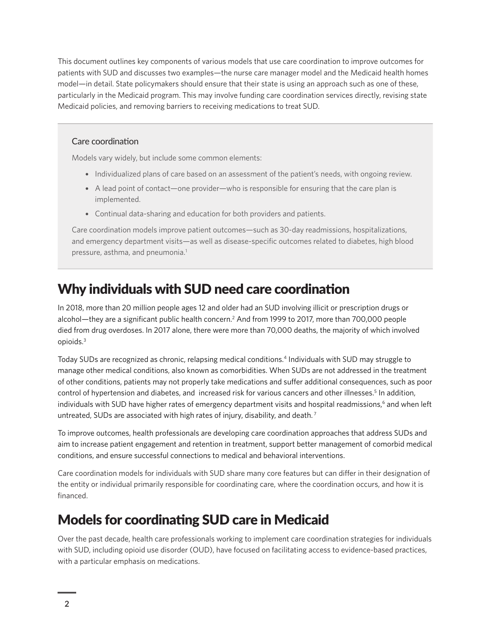<span id="page-1-0"></span>This document outlines key components of various models that use care coordination to improve outcomes for patients with SUD and discusses two examples—the nurse care manager model and the Medicaid health homes model—in detail. State policymakers should ensure that their state is using an approach such as one of these, particularly in the Medicaid program. This may involve funding care coordination services directly, revising state Medicaid policies, and removing barriers to receiving medications to treat SUD.

#### Care coordination

Models vary widely, but include some common elements:

- Individualized plans of care based on an assessment of the patient's needs, with ongoing review.
- A lead point of contact—one provider—who is responsible for ensuring that the care plan is implemented.
- Continual data-sharing and education for both providers and patients.

Care coordination models improve patient outcomes—such as 30-day readmissions, hospitalizations, and emergency department visits—as well as disease-specific outcomes related to diabetes, high blood pressure, asthma, and pneumonia.<sup>1</sup>

### Why individuals with SUD need care coordination

In 2018, more than 20 million people ages 12 and older had an SUD involving illicit or prescription drugs or alcohol—they are a significant public health concern.[2](#page-5-0) And from 1999 to 2017, more than 700,000 people died from drug overdoses. In 2017 alone, there were more than 70,000 deaths, the majority of which involved opioids[.3](#page-5-0)

Today SUDs are recognized as chronic, relapsing medical conditions[.4](#page-5-0) Individuals with SUD may struggle to manage other medical conditions, also known as comorbidities. When SUDs are not addressed in the treatment of other conditions, patients may not properly take medications and suffer additional consequences, such as poor control of hypertension and diabetes, and increased risk for various cancers and other illnesses.<sup>[5](#page-5-0)</sup> In addition, individuals with SUD have higher rates of emergency department visits and hospital readmissions,<sup>[6](#page-5-0)</sup> and when left untreated, SUDs are associated with high rates of injury, disability, and death.<sup>[7](#page-5-0)</sup>

To improve outcomes, health professionals are developing care coordination approaches that address SUDs and aim to increase patient engagement and retention in treatment, support better management of comorbid medical conditions, and ensure successful connections to medical and behavioral interventions.

Care coordination models for individuals with SUD share many core features but can differ in their designation of the entity or individual primarily responsible for coordinating care, where the coordination occurs, and how it is financed.

#### Models for coordinating SUD care in Medicaid

Over the past decade, health care professionals working to implement care coordination strategies for individuals with SUD, including opioid use disorder (OUD), have focused on facilitating access to evidence-based practices, with a particular emphasis on medications.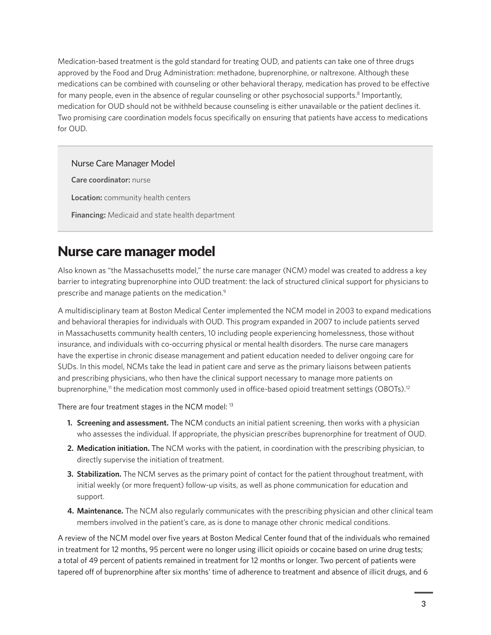<span id="page-2-0"></span>Medication-based treatment is the gold standard for treating OUD, and patients can take one of three drugs approved by the Food and Drug Administration: methadone, buprenorphine, or naltrexone. Although these medications can be combined with counseling or other behavioral therapy, medication has proved to be effective for many people, even in the absence of regular counseling or other psychosocial supports.<sup>8</sup> Importantly, medication for OUD should not be withheld because counseling is either unavailable or the patient declines it. Two promising care coordination models focus specifically on ensuring that patients have access to medications for OUD.

#### Nurse Care Manager Model

**Care coordinator:** nurse **Location:** community health centers

**Financing:** Medicaid and state health department

#### Nurse care manager model

Also known as "the Massachusetts model," the nurse care manager (NCM) model was created to address a key barrier to integrating buprenorphine into OUD treatment: the lack of structured clinical support for physicians to prescribe and manage patients on the medication.[9](#page-5-0)

A multidisciplinary team at Boston Medical Center implemented the NCM model in 2003 to expand medications and behavioral therapies for individuals with OUD. This program expanded in 2007 to include patients served [in Massachusetts community health centers, 10 including people experiencing homelessness, those without](#page-5-0)  insurance, and individuals with co-occurring physical or mental health disorders. The nurse care managers have the expertise in chronic disease management and patient education needed to deliver ongoing care for SUDs. In this model, NCMs take the lead in patient care and serve as the primary liaisons between patients and prescribing physicians, who then have the clinical support necessary to manage more patients on buprenorphine,<sup>11</sup> the medication most commonly used in office-based opioid treatment settings (OBOTs).<sup>12</sup>

There are four treatment stages in the NCM model: <sup>[13](#page-5-0)</sup>

- **1. Screening and assessment.** The NCM conducts an initial patient screening, then works with a physician who assesses the individual. If appropriate, the physician prescribes buprenorphine for treatment of OUD.
- **2. Medication initiation.** The NCM works with the patient, in coordination with the prescribing physician, to directly supervise the initiation of treatment.
- **3. Stabilization.** The NCM serves as the primary point of contact for the patient throughout treatment, with initial weekly (or more frequent) follow-up visits, as well as phone communication for education and support.
- **4. Maintenance.** The NCM also regularly communicates with the prescribing physician and other clinical team members involved in the patient's care, as is done to manage other chronic medical conditions.

A review of the NCM model over five years at Boston Medical Center found that of the individuals who remained in treatment for 12 months, 95 percent were no longer using illicit opioids or cocaine based on urine drug tests; a total of 49 percent of patients remained in treatment for 12 months or longer. Two percent of patients were tapered off of buprenorphine after six months' time of adherence to treatment and absence of illicit drugs, and 6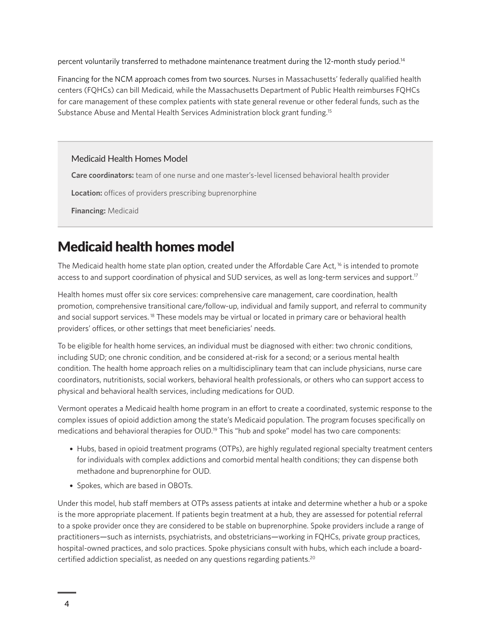<span id="page-3-0"></span>percent voluntarily transferred to methadone maintenance treatment during the 12-month study period.[14](#page-5-0)

Financing for the NCM approach comes from two sources. Nurses in Massachusetts' federally qualified health centers (FQHCs) can bill Medicaid, while the Massachusetts Department of Public Health reimburses FQHCs for care management of these complex patients with state general revenue or other federal funds, such as the Substance Abuse and Mental Health Services Administration block grant funding.[15](#page-5-0)

#### Medicaid Health Homes Model

**Care coordinators:** team of one nurse and one master's-level licensed behavioral health provider

**Location:** offices of providers prescribing buprenorphine

**Financing:** Medicaid

### Medicaid health homes model

The Medicaid health home state plan option, created under the Affordable Care Act, [16](#page-5-0) is intended to promote access to and support coordination of physical and SUD services, as well as long-term services and support.<sup>17</sup>

Health homes must offer six core services: comprehensive care management, care coordination, health promotion, comprehensive transitional care/follow-up, individual and family support, and referral to community and social support services. [18](#page-5-0) These models may be virtual or located in primary care or behavioral health providers' offices, or other settings that meet beneficiaries' needs.

To be eligible for health home services, an individual must be diagnosed with either: two chronic conditions, including SUD; one chronic condition, and be considered at-risk for a second; or a serious mental health condition. The health home approach relies on a multidisciplinary team that can include physicians, nurse care coordinators, nutritionists, social workers, behavioral health professionals, or others who can support access to physical and behavioral health services, including medications for OUD.

Vermont operates a Medicaid health home program in an effort to create a coordinated, systemic response to the complex issues of opioid addiction among the state's Medicaid population. The program focuses specifically on medications and behavioral therapies for OUD.<sup>[19](#page-5-0)</sup> This "hub and spoke" model has two care components:

- Hubs, based in opioid treatment programs (OTPs), are highly regulated regional specialty treatment centers for individuals with complex addictions and comorbid mental health conditions; they can dispense both methadone and buprenorphine for OUD.
- Spokes, which are based in OBOTs.

Under this model, hub staff members at OTPs assess patients at intake and determine whether a hub or a spoke is the more appropriate placement. If patients begin treatment at a hub, they are assessed for potential referral to a spoke provider once they are considered to be stable on buprenorphine. Spoke providers include a range of practitioners—such as internists, psychiatrists, and obstetricians—working in FQHCs, private group practices, hospital-owned practices, and solo practices. Spoke physicians consult with hubs, which each include a boardcertified addiction specialist, as needed on any questions regarding patients.[20](#page-5-0)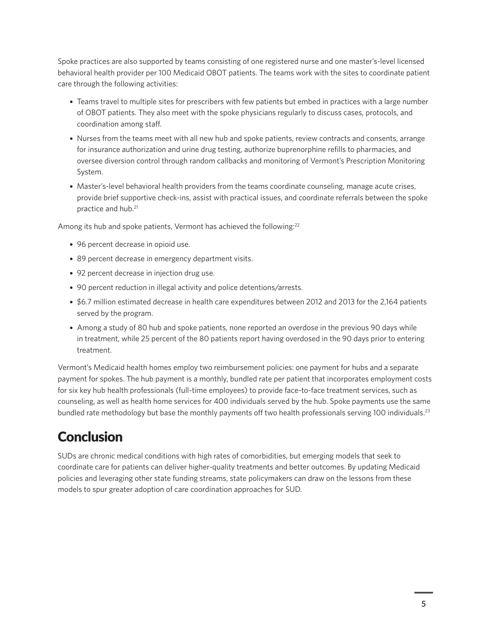<span id="page-4-0"></span>Spoke practices are also supported by teams consisting of one registered nurse and one master's-level licensed behavioral health provider per 100 Medicaid OBOT patients. The teams work with the sites to coordinate patient care through the following activities:

- Teams travel to multiple sites for prescribers with few patients but embed in practices with a large number of OBOT patients. They also meet with the spoke physicians regularly to discuss cases, protocols, and coordination among staff.
- Nurses from the teams meet with all new hub and spoke patients, review contracts and consents, arrange for insurance authorization and urine drug testing, authorize buprenorphine refills to pharmacies, and oversee diversion control through random callbacks and monitoring of Vermont's Prescription Monitoring System.
- Master's-level behavioral health providers from the teams coordinate counseling, manage acute crises, provide brief supportive check-ins, assist with practical issues, and coordinate referrals between the spoke practice and hub[.21](#page-5-0)

Among its hub and spoke patients, Vermont has achieved the following:<sup>[22](#page-5-0)</sup>

- 96 percent decrease in opioid use.
- 89 percent decrease in emergency department visits.
- 92 percent decrease in injection drug use.
- 90 percent reduction in illegal activity and police detentions/arrests.
- \$6.7 million estimated decrease in health care expenditures between 2012 and 2013 for the 2,164 patients served by the program.
- Among a study of 80 hub and spoke patients, none reported an overdose in the previous 90 days while in treatment, while 25 percent of the 80 patients report having overdosed in the 90 days prior to entering treatment.

Vermont's Medicaid health homes employ two reimbursement policies: one payment for hubs and a separate payment for spokes. The hub payment is a monthly, bundled rate per patient that incorporates employment costs for six key hub health professionals (full-time employees) to provide face-to-face treatment services, such as counseling, as well as health home services for 400 individuals served by the hub. Spoke payments use the same bundled rate methodology but base the monthly payments off two health professionals serving 100 individuals.<sup>23</sup>

## **Conclusion**

SUDs are chronic medical conditions with high rates of comorbidities, but emerging models that seek to coordinate care for patients can deliver higher-quality treatments and better outcomes. By updating Medicaid policies and leveraging other state funding streams, state policymakers can draw on the lessons from these models to spur greater adoption of care coordination approaches for SUD.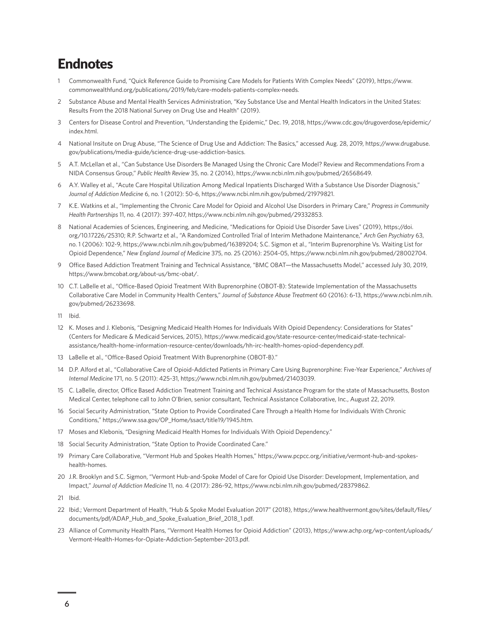#### <span id="page-5-0"></span>**Endnotes**

- 1 [C](#page-1-0)ommonwealth Fund, "Quick Reference Guide to Promising Care Models for Patients With Complex Needs" (2019), [https://www.](https://www.commonwealthfund.org/publications/2019/feb/care-models-patients-complex-needs) [commonwealthfund.org/publications/2019/feb/care-models-patients-complex-needs.](https://www.commonwealthfund.org/publications/2019/feb/care-models-patients-complex-needs)
- 2 [S](#page-1-0)ubstance Abuse and Mental Health Services Administration, "Key Substance Use and Mental Health Indicators in the United States: Results From the 2018 National Survey on Drug Use and Health" (2019).
- 3 [C](#page-1-0)enters for Disease Control and Prevention, "Understanding the Epidemic," Dec. 19, 2018, [https://www.cdc.gov/drugoverdose/epidemic/](https://www.cdc.gov/drugoverdose/epidemic/index.html) [index.html.](https://www.cdc.gov/drugoverdose/epidemic/index.html)
- 4 [Na](#page-1-0)tional Insitute on Drug Abuse, "The Science of Drug Use and Addiction: The Basics," accessed Aug. 28, 2019, [https://www.drugabuse.](https://www.drugabuse.gov/publications/media-guide/science-drug-use-addiction-basics) [gov/publications/media-guide/science-drug-use-addiction-basics](https://www.drugabuse.gov/publications/media-guide/science-drug-use-addiction-basics).
- 5 [A.](#page-1-0)T. McLellan et al., "Can Substance Use Disorders Be Managed Using the Chronic Care Model? Review and Recommendations From a NIDA Consensus Group," *Public Health Review* 35, no. 2 (2014), [https://www.ncbi.nlm.nih.gov/pubmed/26568649.](https://www.ncbi.nlm.nih.gov/pubmed/26568649)
- 6 [A.](#page-1-0)Y. Walley et al., "Acute Care Hospital Utilization Among Medical Inpatients Discharged With a Substance Use Disorder Diagnosis," *Journal of Addiction Medicine* 6, no. 1 (2012): 50-6, [https://www.ncbi.nlm.nih.gov/pubmed/21979821.](https://www.ncbi.nlm.nih.gov/pubmed/21979821)
- 7 [K.](#page-1-0)E. Watkins et al., "Implementing the Chronic Care Model for Opioid and Alcohol Use Disorders in Primary Care," *Progress in Community Health Partnerships* 11, no. 4 (2017): 397-407, <https://www.ncbi.nlm.nih.gov/pubmed/29332853>.
- 8 [Na](#page-2-0)tional Academies of Sciences, Engineering, and Medicine, "Medications for Opioid Use Disorder Save Lives" (2019), [https://doi.](https://doi.org/10.17226/25310) [org/10.17226/25310;](https://doi.org/10.17226/25310) R.P. Schwartz et al., "A Randomized Controlled Trial of Interim Methadone Maintenance," *Arch Gen Psychiatry* 63, no. 1 (2006): 102-9, <https://www.ncbi.nlm.nih.gov/pubmed/16389204>; S.C. Sigmon et al., "Interim Buprenorphine Vs. Waiting List for Opioid Dependence," *New England Journal of Medicine* 375, no. 25 (2016): 2504-05,<https://www.ncbi.nlm.nih.gov/pubmed/28002704>.
- 9 [Offi](#page-2-0)ce Based Addiction Treatment Training and Technical Assistance, "BMC OBAT—the Massachusetts Model," accessed July 30, 2019, https://www.bmcobat.org/about-us/bmc-obat/.
- 10 [C](#page-2-0).T. LaBelle et al., "Office-Based Opioid Treatment With Buprenorphine (OBOT-B): Statewide Implementation of the Massachusetts Collaborative Care Model in Community Health Centers," *Journal of Substance Abuse Treatment* 60 (2016): 6-13, [https://www.ncbi.nlm.nih.](https://www.ncbi.nlm.nih.gov/pubmed/26233698) [gov/pubmed/26233698](https://www.ncbi.nlm.nih.gov/pubmed/26233698).
- 11 [I](#page-2-0)bid.
- 12 [K.](#page-2-0) Moses and J. Klebonis, "Designing Medicaid Health Homes for Individuals With Opioid Dependency: Considerations for States" (Centers for Medicare & Medicaid Services, 2015), [https://www.medicaid.gov/state-resource-center/medicaid-state-technical](https://www.medicaid.gov/state-resource-center/medicaid-state-technical-assistance/health-home-information-resource-center/downloads/hh-irc-health-homes-opiod-dependency.pdf)[assistance/health-home-information-resource-center/downloads/hh-irc-health-homes-opiod-dependency.pdf](https://www.medicaid.gov/state-resource-center/medicaid-state-technical-assistance/health-home-information-resource-center/downloads/hh-irc-health-homes-opiod-dependency.pdf).
- 13 [La](#page-2-0)Belle et al., "Office-Based Opioid Treatment With Buprenorphine (OBOT-B)."
- 14 [D](#page-3-0).P. Alford et al., "Collaborative Care of Opioid-Addicted Patients in Primary Care Using Buprenorphine: Five-Year Experience," *Archives of Internal Medicine* 171, no. 5 (2011): 425-31, [https://www.ncbi.nlm.nih.gov/pubmed/21403039.](https://www.ncbi.nlm.nih.gov/pubmed/21403039)
- 15 [C](#page-3-0). LaBelle, director, Office Based Addiction Treatment Training and Technical Assistance Program for the state of Massachusetts, Boston Medical Center, telephone call to John O'Brien, senior consultant, Technical Assistance Collaborative, Inc., August 22, 2019.
- 16 [S](#page-3-0)ocial Security Administration, "State Option to Provide Coordinated Care Through a Health Home for Individuals With Chronic Conditions," [https://www.ssa.gov/OP\\_Home/ssact/title19/1945.htm](https://www.ssa.gov/OP_Home/ssact/title19/1945.htm).
- 17 [M](#page-3-0)oses and Klebonis, "Designing Medicaid Health Homes for Individuals With Opioid Dependency."
- 18 [S](#page-3-0)ocial Security Administration, "State Option to Provide Coordinated Care."
- 19 [P](#page-3-0)rimary Care Collaborative, "Vermont Hub and Spokes Health Homes," [https://www.pcpcc.org/initiative/vermont-hub-and-spokes](https://www.pcpcc.org/initiative/vermont-hub-and-spokes-health-homes)[health-homes.](https://www.pcpcc.org/initiative/vermont-hub-and-spokes-health-homes)
- 20 [J.](#page-3-0)R. Brooklyn and S.C. Sigmon, "Vermont Hub-and-Spoke Model of Care for Opioid Use Disorder: Development, Implementation, and Impact," *Journal of Addiction Medicine* 11, no. 4 (2017): 286-92, [https://www.ncbi.nlm.nih.gov/pubmed/28379862.](https://www.ncbi.nlm.nih.gov/pubmed/28379862)
- 21 [I](#page-4-0)bid.
- 22 [I](#page-4-0)bid.; Vermont Department of Health, "Hub & Spoke Model Evaluation 2017" (2018), [https://www.healthvermont.gov/sites/default/files/](https://www.healthvermont.gov/sites/default/files/documents/pdf/ADAP_Hub_and_Spoke_Evaluation_Brief_2018_1.pdf) [documents/pdf/ADAP\\_Hub\\_and\\_Spoke\\_Evaluation\\_Brief\\_2018\\_1.pdf](https://www.healthvermont.gov/sites/default/files/documents/pdf/ADAP_Hub_and_Spoke_Evaluation_Brief_2018_1.pdf).
- 23 [Al](#page-4-0)liance of Community Health Plans, "Vermont Health Homes for Opioid Addiction" (2013), [https://www.achp.org/wp-content/uploads/](https://www.achp.org/wp-content/uploads/Vermont-Health-Homes-for-Opiate-Addiction-September-2013.pdf) [Vermont-Health-Homes-for-Opiate-Addiction-September-2013.pdf.](https://www.achp.org/wp-content/uploads/Vermont-Health-Homes-for-Opiate-Addiction-September-2013.pdf)